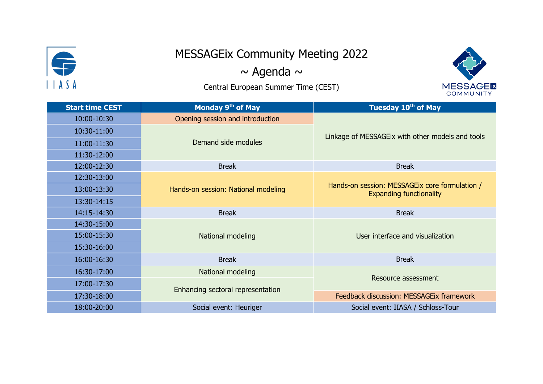

## MESSAGEix Community Meeting 2022

 $\sim$  Agenda  $\sim$ 

Central European Summer Time (CEST)



| <b>Start time CEST</b> | Monday 9th of May                   | Tuesday 10 <sup>th</sup> of May                                                  |
|------------------------|-------------------------------------|----------------------------------------------------------------------------------|
| 10:00-10:30            | Opening session and introduction    |                                                                                  |
| 10:30-11:00            | Demand side modules                 | Linkage of MESSAGEIx with other models and tools                                 |
| 11:00-11:30            |                                     |                                                                                  |
| 11:30-12:00            |                                     |                                                                                  |
| 12:00-12:30            | <b>Break</b>                        | <b>Break</b>                                                                     |
| 12:30-13:00            | Hands-on session: National modeling | Hands-on session: MESSAGEIx core formulation /<br><b>Expanding functionality</b> |
| 13:00-13:30            |                                     |                                                                                  |
| 13:30-14:15            |                                     |                                                                                  |
| 14:15-14:30            | <b>Break</b>                        | <b>Break</b>                                                                     |
| 14:30-15:00            | National modeling                   | User interface and visualization                                                 |
| 15:00-15:30            |                                     |                                                                                  |
| 15:30-16:00            |                                     |                                                                                  |
| 16:00-16:30            | <b>Break</b>                        | <b>Break</b>                                                                     |
| 16:30-17:00            | National modeling                   |                                                                                  |
| 17:00-17:30            | Enhancing sectoral representation   | Resource assessment                                                              |
| 17:30-18:00            |                                     | Feedback discussion: MESSAGEix framework                                         |
| 18:00-20:00            | Social event: Heuriger              | Social event: IIASA / Schloss-Tour                                               |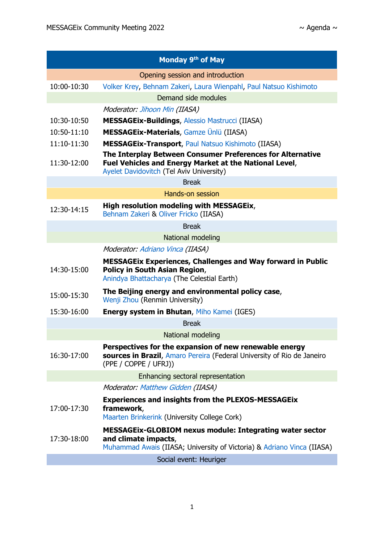| Monday 9 <sup>th</sup> of May    |                                                                                                                                                                   |  |
|----------------------------------|-------------------------------------------------------------------------------------------------------------------------------------------------------------------|--|
| Opening session and introduction |                                                                                                                                                                   |  |
| 10:00-10:30                      | Volker Krey, Behnam Zakeri, Laura Wienpahl, Paul Natsuo Kishimoto                                                                                                 |  |
|                                  | Demand side modules                                                                                                                                               |  |
|                                  | Moderator: Jihoon Min (IIASA)                                                                                                                                     |  |
| 10:30-10:50                      | <b>MESSAGEix-Buildings, Alessio Mastrucci (IIASA)</b>                                                                                                             |  |
| 10:50-11:10                      | <b>MESSAGEix-Materials, Gamze Ünlü (IIASA)</b>                                                                                                                    |  |
| 11:10-11:30                      | <b>MESSAGEix-Transport, Paul Natsuo Kishimoto (IIASA)</b>                                                                                                         |  |
| 11:30-12:00                      | The Interplay Between Consumer Preferences for Alternative<br>Fuel Vehicles and Energy Market at the National Level,<br>Ayelet Davidovitch (Tel Aviv University)  |  |
|                                  | <b>Break</b>                                                                                                                                                      |  |
| Hands-on session                 |                                                                                                                                                                   |  |
| 12:30-14:15                      | High resolution modeling with MESSAGEix,<br>Behnam Zakeri & Oliver Fricko (IIASA)                                                                                 |  |
|                                  | <b>Break</b>                                                                                                                                                      |  |
|                                  | National modeling                                                                                                                                                 |  |
|                                  | Moderator: Adriano Vinca (IIASA)                                                                                                                                  |  |
| 14:30-15:00                      | <b>MESSAGEIX Experiences, Challenges and Way forward in Public</b><br><b>Policy in South Asian Region,</b><br>Anindya Bhattacharya (The Celestial Earth)          |  |
| 15:00-15:30                      | The Beijing energy and environmental policy case,<br>Wenji Zhou (Renmin University)                                                                               |  |
| 15:30-16:00                      | <b>Energy system in Bhutan, Miho Kamei (IGES)</b>                                                                                                                 |  |
|                                  | <b>Break</b>                                                                                                                                                      |  |
|                                  | National modeling                                                                                                                                                 |  |
| 16:30-17:00                      | Perspectives for the expansion of new renewable energy<br>sources in Brazil, Amaro Pereira (Federal University of Rio de Janeiro<br>(PPE / COPPE / UFRJ))         |  |
|                                  | Enhancing sectoral representation                                                                                                                                 |  |
|                                  | Moderator: Matthew Gidden (IIASA)                                                                                                                                 |  |
| 17:00-17:30                      | <b>Experiences and insights from the PLEXOS-MESSAGEIX</b><br>framework,<br>Maarten Brinkerink (University College Cork)                                           |  |
| 17:30-18:00                      | <b>MESSAGEIx-GLOBIOM nexus module: Integrating water sector</b><br>and climate impacts,<br>Muhammad Awais (IIASA; University of Victoria) & Adriano Vinca (IIASA) |  |
|                                  | Social event: Heuriger                                                                                                                                            |  |